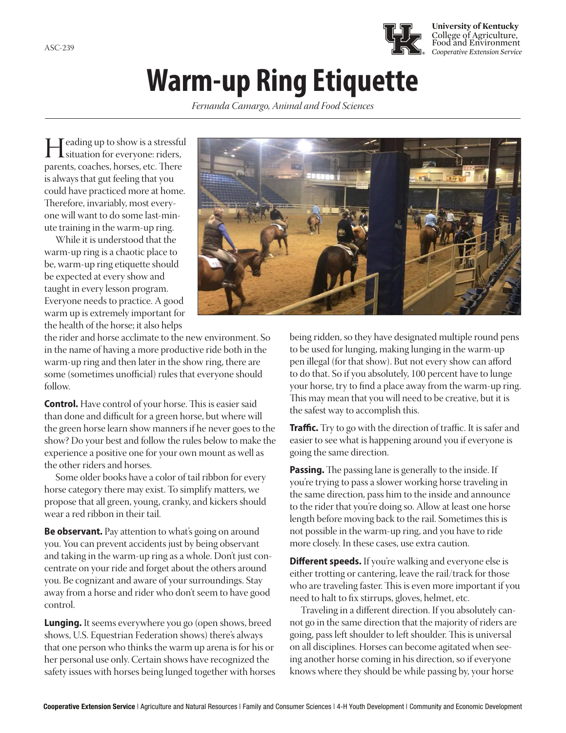

## **Warm-up Ring Etiquette**

*Fernanda Camargo, Animal and Food Sciences*

I eading up to show is a stressful<br>situation for everyone: riders,<br>parents, coaches, borses, etc. There parents, coaches, horses, etc. There is always that gut feeling that you could have practiced more at home. Therefore, invariably, most everyone will want to do some last-minute training in the warm-up ring.

While it is understood that the warm-up ring is a chaotic place to be, warm-up ring etiquette should be expected at every show and taught in every lesson program. Everyone needs to practice. A good warm up is extremely important for the health of the horse; it also helps

the rider and horse acclimate to the new environment. So in the name of having a more productive ride both in the warm-up ring and then later in the show ring, there are some (sometimes unofficial) rules that everyone should follow.

**Control.** Have control of your horse. This is easier said than done and difficult for a green horse, but where will the green horse learn show manners if he never goes to the show? Do your best and follow the rules below to make the experience a positive one for your own mount as well as the other riders and horses.

Some older books have a color of tail ribbon for every horse category there may exist. To simplify matters, we propose that all green, young, cranky, and kickers should wear a red ribbon in their tail.

**Be observant.** Pay attention to what's going on around you. You can prevent accidents just by being observant and taking in the warm-up ring as a whole. Don't just concentrate on your ride and forget about the others around you. Be cognizant and aware of your surroundings. Stay away from a horse and rider who don't seem to have good control.

**Lunging.** It seems everywhere you go (open shows, breed shows, U.S. Equestrian Federation shows) there's always that one person who thinks the warm up arena is for his or her personal use only. Certain shows have recognized the safety issues with horses being lunged together with horses



being ridden, so they have designated multiple round pens to be used for lunging, making lunging in the warm-up pen illegal (for that show). But not every show can afford to do that. So if you absolutely, 100 percent have to lunge your horse, try to find a place away from the warm-up ring. This may mean that you will need to be creative, but it is the safest way to accomplish this.

**Traffic.** Try to go with the direction of traffic. It is safer and easier to see what is happening around you if everyone is going the same direction.

**Passing.** The passing lane is generally to the inside. If you're trying to pass a slower working horse traveling in the same direction, pass him to the inside and announce to the rider that you're doing so. Allow at least one horse length before moving back to the rail. Sometimes this is not possible in the warm-up ring, and you have to ride more closely. In these cases, use extra caution.

**Different speeds.** If you're walking and everyone else is either trotting or cantering, leave the rail/track for those who are traveling faster. This is even more important if you need to halt to fix stirrups, gloves, helmet, etc.

Traveling in a different direction. If you absolutely cannot go in the same direction that the majority of riders are going, pass left shoulder to left shoulder. This is universal on all disciplines. Horses can become agitated when seeing another horse coming in his direction, so if everyone knows where they should be while passing by, your horse